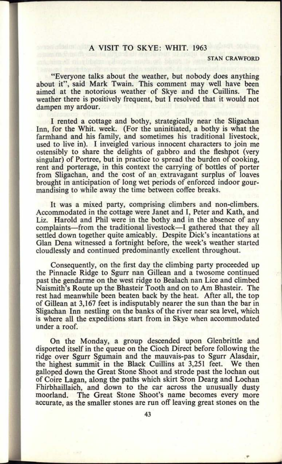## A VISIT TO SKYE: WHIT. 1963

**50. 0902**

## **STAN CRAWFORD**

"Everyone talks about the weather, but nobody does anything about it", said Mark Twain. This comment may well have been aimed at the notorious weather of Skye and the Cuillins. The weather there is positively frequent, but I resolved that it would not dampen my ardour.

I rented a cottage and bothy, strategically near the Sligachan Inn, for the Whit. week. (For the uninitiated, a bothy is what the farmhand and his family, and sometimes his traditional livestock, used to live in). I inveigled various innocent characters to join me ostensibly to share the delights of gabbro and the fleshpot (very singular) of Portree, but in practice to spread the burden of cooking, rent and porterage, in this context the carrying of bottles of porter from Sligachan, and the cost of an extravagant surplus of loaves brought in anticipation of long wet periods of enforced indoor gourmandising to while away the time between coffee breaks.

It was a mixed party, comprising climbers and non-climbers. Accommodated in the cottage were Janet and I, Peter and Kath, and Liz. Harold and Phil were in the bothy and in the absence of any complaints—from the traditional livestock—I gathered that they all settled down together quite amicably. Despite Dick's incantations at Glan Dena witnessed a fortnight before, the week's weather started cloudlessly and continued predominantly excellent throughout.

Consequently, on the first day the climbing party proceeded up the Pinnacle Ridge to Sgurr nan Gillean and a twosome continued past the gendarme on the west ridge to Bealach nan Lice and climbed Naismith's Route up the Bhasteir Tooth and on to Am Bhasteir. The rest had meanwhile been beaten back by the heat. After all, the top of Gillean at 3,167 feet is indisputably nearer the sun than the bar in Sligachan Inn nestling on the banks of the river near sea level, which is where all the expeditions start from in Skye when accommodated under a roof.

On the Monday, a group descended upon Glenbrittle and disported itself in the queue on the Cioch Direct before following the ridge over Sgurr Sgumain and the mauvais-pas to Sgurr Alasdair, the highest summit in the Black Cuillins at 3,251 feet. We then galloped down the Great Stone Shoot and strode past the lochan out of Coire Lagan, along the paths which skirt Sron Dearg and Lochan Fhirbhaillaich, and down to the car across the unusually dusty moorland. The Great Stone Shoot's name becomes every more accurate, as the smaller stones are run off leaving great stones on the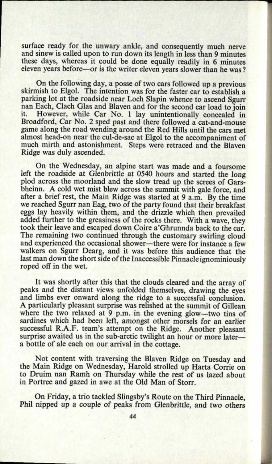surface ready for the unwary ankle, and consequently much nerve and sinew is called upon to run down its length in less than 9 minutes these days, whereas it could be done equally readily in 6 minutes eleven years before—or is the writer eleven years slower than he was?

On the following day, a posse of two cars followed up a previous skirmish to Elgol. The intention was for the faster car to establish <sup>a</sup> parking lot at the roadside near Loch Slapin whence to ascend Sgurr nan Each, Clach Glas and Blaven and for the second car load to join<br>it. However, while Car No. 1 lay unintentionally concealed in However, while Car No. 1 lay unintentionally concealed in Broadford, Car No. 2 sped past and there followed a cat-and-mouse game along the road wending around the Red Hills until the cars met almost head-on near the cul-de-sac at Elgol to the accompaniment of much mirth and astonishment. Steps were retraced and the Blaven Ridge was duly ascended.

On the Wednesday, an alpine start was made and a foursome left the roadside at Glenbrittle at 0540 hours and started the long <sup>p</sup>lod across the moorland and the slow tread up the screes of Garsbheinn. A cold wet mist blew across the summit with gale force, and after a brief rest, the Main Ridge was started at 9 a.m. By the time we reached Sgurr nan Bag, two of the party found that their breakfast eggs lay heavily within them, and the drizzle which then prevailed added further to the greasiness of the rocks there. With a wave, they took their leave and escaped down Coire a'Ghrunnda back to the car. The remaining two continued through the customary swirling cloud and experienced the occasional shower—there were for instance a few walkers on Sgurr Dearg, and it was before this audience that the last man down the short side of the Inaccessible Pinnacle ignominiously roped off in the wet.

It was shortly after this that the clouds cleared and the array of peaks and the distant views unfolded themselves, drawing the eyes and limbs ever onward along the ridge to a successful conclusion. A particularly pleasant surprise was relished at the summit of Gillean where the two relaxed at 9 p.m. in the evening glow—two tins of sardines which had been left, amongst other morsels for an earlier successful R.A.F. team's attempt on the Ridge. Another pleasant surprise awaited us in the sub-arctic twilight an hour or more latera bottle of ale each on our arrival in the cottage.

Not content with traversing the Blaven Ridge on Tuesday and the Main Ridge on Wednesday, Harold strolled up Harta Corrie on to Druim nan Ramh on Thursday while the rest of us lazed about in Portree and gazed in awe at the Old Man of Storr.

On Friday, a trio tackled Slingsby's Route on the Third Pinnacle, Phil nipped up a couple of peaks from Glenbrittle, and two others